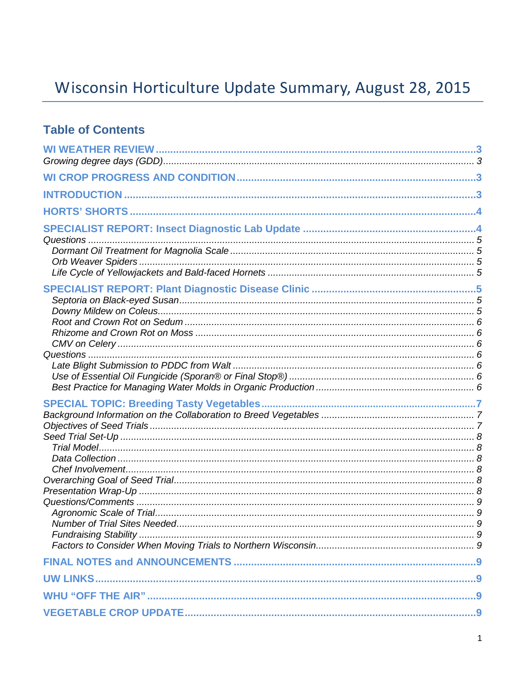# Wisconsin Horticulture Update Summary, August 28, 2015

## **Table of Contents**

| Number of Trial Sites Needed. |  |
|-------------------------------|--|
|                               |  |
|                               |  |
|                               |  |
|                               |  |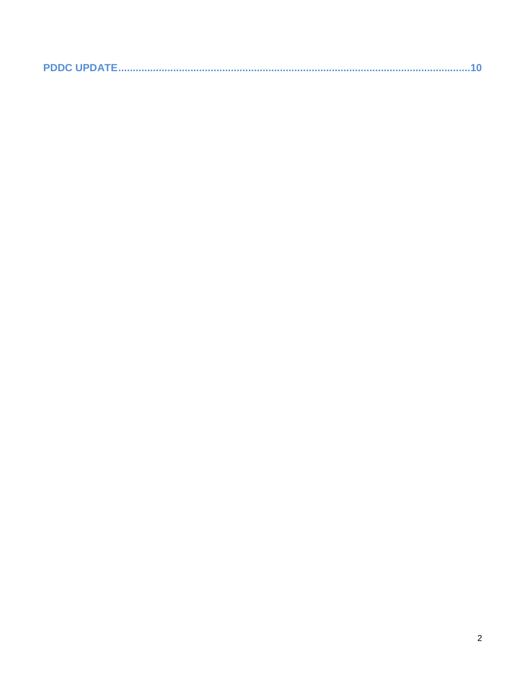|--|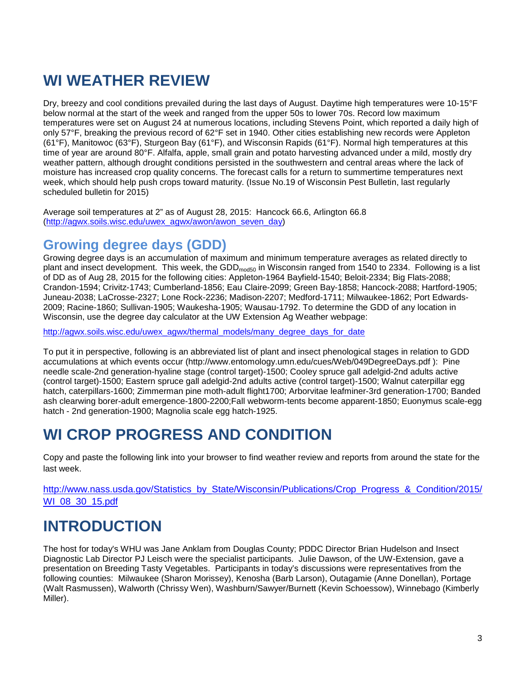# **WI WEATHER REVIEW**

Dry, breezy and cool conditions prevailed during the last days of August. Daytime high temperatures were 10-15°F below normal at the start of the week and ranged from the upper 50s to lower 70s. Record low maximum temperatures were set on August 24 at numerous locations, including Stevens Point, which reported a daily high of only 57°F, breaking the previous record of 62°F set in 1940. Other cities establishing new records were Appleton (61°F), Manitowoc (63°F), Sturgeon Bay (61°F), and Wisconsin Rapids (61°F). Normal high temperatures at this time of year are around 80°F. Alfalfa, apple, small grain and potato harvesting advanced under a mild, mostly dry weather pattern, although drought conditions persisted in the southwestern and central areas where the lack of moisture has increased crop quality concerns. The forecast calls for a return to summertime temperatures next week, which should help push crops toward maturity. (Issue No.19 of Wisconsin Pest Bulletin, last regularly scheduled bulletin for 2015)

Average soil temperatures at 2" as of August 28, 2015: Hancock 66.6, Arlington 66.8 [\(http://agwx.soils.wisc.edu/uwex\\_agwx/awon/awon\\_seven\\_day\)](http://agwx.soils.wisc.edu/uwex_agwx/awon/awon_seven_day)

## **Growing degree days (GDD)**

Growing degree days is an accumulation of maximum and minimum temperature averages as related directly to plant and insect development. This week, the GDD<sub>mod50</sub> in Wisconsin ranged from 1540 to 2334. Following is a list of DD as of Aug 28, 2015 for the following cities: Appleton-1964 Bayfield-1540; Beloit-2334; Big Flats-2088; Crandon-1594; Crivitz-1743; Cumberland-1856; Eau Claire-2099; Green Bay-1858; Hancock-2088; Hartford-1905; Juneau-2038; LaCrosse-2327; Lone Rock-2236; Madison-2207; Medford-1711; Milwaukee-1862; Port Edwards-2009; Racine-1860; Sullivan-1905; Waukesha-1905; Wausau-1792. To determine the GDD of any location in Wisconsin, use the degree day calculator at the UW Extension Ag Weather webpage:

[http://agwx.soils.wisc.edu/uwex\\_agwx/thermal\\_models/many\\_degree\\_days\\_for\\_date](http://agwx.soils.wisc.edu/uwex_agwx/thermal_models/many_degree_days_for_date)

To put it in perspective, following is an abbreviated list of plant and insect phenological stages in relation to GDD accumulations at which events occur (http://www.entomology.umn.edu/cues/Web/049DegreeDays.pdf ): Pine needle scale-2nd generation-hyaline stage (control target)-1500; Cooley spruce gall adelgid-2nd adults active (control target)-1500; Eastern spruce gall adelgid-2nd adults active (control target)-1500; Walnut caterpillar egg hatch, caterpillars-1600; Zimmerman pine moth-adult flight1700; Arborvitae leafminer-3rd generation-1700; Banded ash clearwing borer-adult emergence-1800-2200;Fall webworm-tents become apparent-1850; Euonymus scale-egg hatch - 2nd generation-1900; Magnolia scale egg hatch-1925.

# **WI CROP PROGRESS AND CONDITION**

Copy and paste the following link into your browser to find weather review and reports from around the state for the last week.

[http://www.nass.usda.gov/Statistics\\_by\\_State/Wisconsin/Publications/Crop\\_Progress\\_&\\_Condition/2015/](http://www.nass.usda.gov/Statistics_by_State/Wisconsin/Publications/Crop_Progress_&_Condition/2015/WI_08_30_15.pdf) [WI\\_08\\_30\\_15.pdf](http://www.nass.usda.gov/Statistics_by_State/Wisconsin/Publications/Crop_Progress_&_Condition/2015/WI_08_30_15.pdf)

# **INTRODUCTION**

The host for today's WHU was Jane Anklam from Douglas County; PDDC Director Brian Hudelson and Insect Diagnostic Lab Director PJ Leisch were the specialist participants. Julie Dawson, of the UW-Extension, gave a presentation on Breeding Tasty Vegetables. Participants in today's discussions were representatives from the following counties: Milwaukee (Sharon Morissey), Kenosha (Barb Larson), Outagamie (Anne Donellan), Portage (Walt Rasmussen), Walworth (Chrissy Wen), Washburn/Sawyer/Burnett (Kevin Schoessow), Winnebago (Kimberly Miller).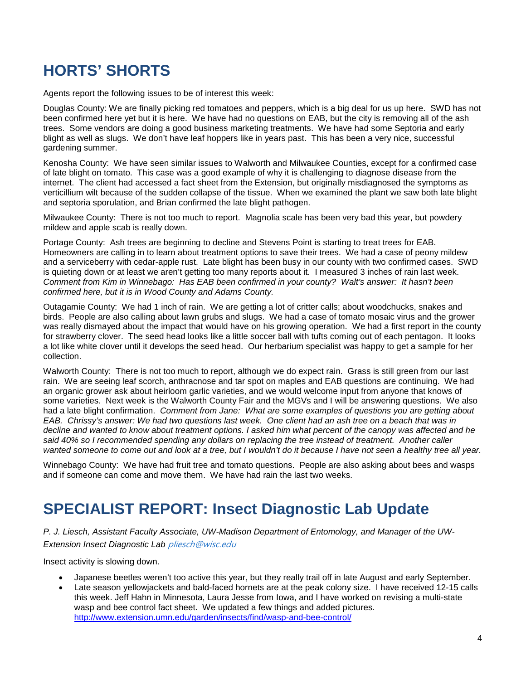# **HORTS' SHORTS**

Agents report the following issues to be of interest this week:

Douglas County: We are finally picking red tomatoes and peppers, which is a big deal for us up here. SWD has not been confirmed here yet but it is here. We have had no questions on EAB, but the city is removing all of the ash trees. Some vendors are doing a good business marketing treatments. We have had some Septoria and early blight as well as slugs. We don't have leaf hoppers like in years past. This has been a very nice, successful gardening summer.

Kenosha County: We have seen similar issues to Walworth and Milwaukee Counties, except for a confirmed case of late blight on tomato. This case was a good example of why it is challenging to diagnose disease from the internet. The client had accessed a fact sheet from the Extension, but originally misdiagnosed the symptoms as verticillium wilt because of the sudden collapse of the tissue. When we examined the plant we saw both late blight and septoria sporulation, and Brian confirmed the late blight pathogen.

Milwaukee County: There is not too much to report. Magnolia scale has been very bad this year, but powdery mildew and apple scab is really down.

Portage County: Ash trees are beginning to decline and Stevens Point is starting to treat trees for EAB. Homeowners are calling in to learn about treatment options to save their trees. We had a case of peony mildew and a serviceberry with cedar-apple rust. Late blight has been busy in our county with two confirmed cases. SWD is quieting down or at least we aren't getting too many reports about it. I measured 3 inches of rain last week. *Comment from Kim in Winnebago: Has EAB been confirmed in your county? Walt's answer: It hasn't been confirmed here, but it is in Wood County and Adams County.*

Outagamie County: We had 1 inch of rain. We are getting a lot of critter calls; about woodchucks, snakes and birds. People are also calling about lawn grubs and slugs. We had a case of tomato mosaic virus and the grower was really dismayed about the impact that would have on his growing operation. We had a first report in the county for strawberry clover. The seed head looks like a little soccer ball with tufts coming out of each pentagon. It looks a lot like white clover until it develops the seed head. Our herbarium specialist was happy to get a sample for her collection.

Walworth County: There is not too much to report, although we do expect rain. Grass is still green from our last rain. We are seeing leaf scorch, anthracnose and tar spot on maples and EAB questions are continuing. We had an organic grower ask about heirloom garlic varieties, and we would welcome input from anyone that knows of some varieties. Next week is the Walworth County Fair and the MGVs and I will be answering questions. We also had a late blight confirmation. *Comment from Jane: What are some examples of questions you are getting about EAB. Chrissy's answer: We had two questions last week. One client had an ash tree on a beach that was in decline and wanted to know about treatment options. I asked him what percent of the canopy was affected and he said 40% so I recommended spending any dollars on replacing the tree instead of treatment. Another caller wanted someone to come out and look at a tree, but I wouldn't do it because I have not seen a healthy tree all year.*

Winnebago County: We have had fruit tree and tomato questions. People are also asking about bees and wasps and if someone can come and move them. We have had rain the last two weeks.

# **SPECIALIST REPORT: Insect Diagnostic Lab Update**

*P. J. Liesch, Assistant Faculty Associate, UW-Madison Department of Entomology, and Manager of the UW-Extension Insect Diagnostic Lab* [pliesch@wisc.edu](mailto:pliesch@wisc.edu)

Insect activity is slowing down.

- Japanese beetles weren't too active this year, but they really trail off in late August and early September.
- Late season yellowjackets and bald-faced hornets are at the peak colony size. I have received 12-15 calls this week. Jeff Hahn in Minnesota, Laura Jesse from Iowa, and I have worked on revising a multi-state wasp and bee control fact sheet. We updated a few things and added pictures. <http://www.extension.umn.edu/garden/insects/find/wasp-and-bee-control/>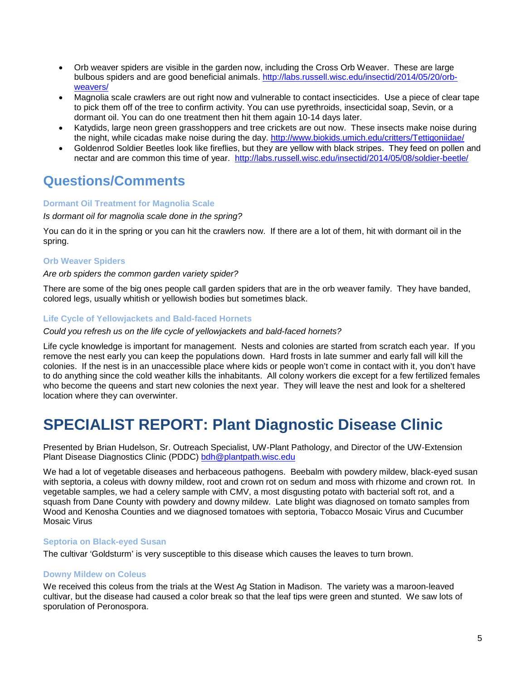- Orb weaver spiders are visible in the garden now, including the Cross Orb Weaver. These are large bulbous spiders and are good beneficial animals. [http://labs.russell.wisc.edu/insectid/2014/05/20/orb](http://labs.russell.wisc.edu/insectid/2014/05/20/orb-weavers/)[weavers/](http://labs.russell.wisc.edu/insectid/2014/05/20/orb-weavers/)
- Magnolia scale crawlers are out right now and vulnerable to contact insecticides. Use a piece of clear tape to pick them off of the tree to confirm activity. You can use pyrethroids, insecticidal soap, Sevin, or a dormant oil. You can do one treatment then hit them again 10-14 days later.
- Katydids, large neon green grasshoppers and tree crickets are out now. These insects make noise during the night, while cicadas make noise during the day.<http://www.biokids.umich.edu/critters/Tettigoniidae/>
- Goldenrod Soldier Beetles look like fireflies, but they are yellow with black stripes. They feed on pollen and nectar and are common this time of year. <http://labs.russell.wisc.edu/insectid/2014/05/08/soldier-beetle/>

## **Questions/Comments**

### **Dormant Oil Treatment for Magnolia Scale**

### *Is dormant oil for magnolia scale done in the spring?*

You can do it in the spring or you can hit the crawlers now. If there are a lot of them, hit with dormant oil in the spring.

### **Orb Weaver Spiders**

### *Are orb spiders the common garden variety spider?*

There are some of the big ones people call garden spiders that are in the orb weaver family. They have banded, colored legs, usually whitish or yellowish bodies but sometimes black.

### **Life Cycle of Yellowjackets and Bald-faced Hornets**

### *Could you refresh us on the life cycle of yellowjackets and bald-faced hornets?*

Life cycle knowledge is important for management. Nests and colonies are started from scratch each year. If you remove the nest early you can keep the populations down. Hard frosts in late summer and early fall will kill the colonies. If the nest is in an unaccessible place where kids or people won't come in contact with it, you don't have to do anything since the cold weather kills the inhabitants. All colony workers die except for a few fertilized females who become the queens and start new colonies the next year. They will leave the nest and look for a sheltered location where they can overwinter.

## **SPECIALIST REPORT: Plant Diagnostic Disease Clinic**

Presented by Brian Hudelson, Sr. Outreach Specialist, UW-Plant Pathology, and Director of the UW-Extension Plant Disease Diagnostics Clinic (PDDC) [bdh@plantpath.wisc.edu](mailto:bdh@plantpath.wisc.edu)

We had a lot of vegetable diseases and herbaceous pathogens. Beebalm with powdery mildew, black-eyed susan with septoria, a coleus with downy mildew, root and crown rot on sedum and moss with rhizome and crown rot. In vegetable samples, we had a celery sample with CMV, a most disgusting potato with bacterial soft rot, and a squash from Dane County with powdery and downy mildew. Late blight was diagnosed on tomato samples from Wood and Kenosha Counties and we diagnosed tomatoes with septoria, Tobacco Mosaic Virus and Cucumber Mosaic Virus

### **Septoria on Black-eyed Susan**

The cultivar 'Goldsturm' is very susceptible to this disease which causes the leaves to turn brown.

### **Downy Mildew on Coleus**

We received this coleus from the trials at the West Ag Station in Madison. The variety was a maroon-leaved cultivar, but the disease had caused a color break so that the leaf tips were green and stunted. We saw lots of sporulation of Peronospora.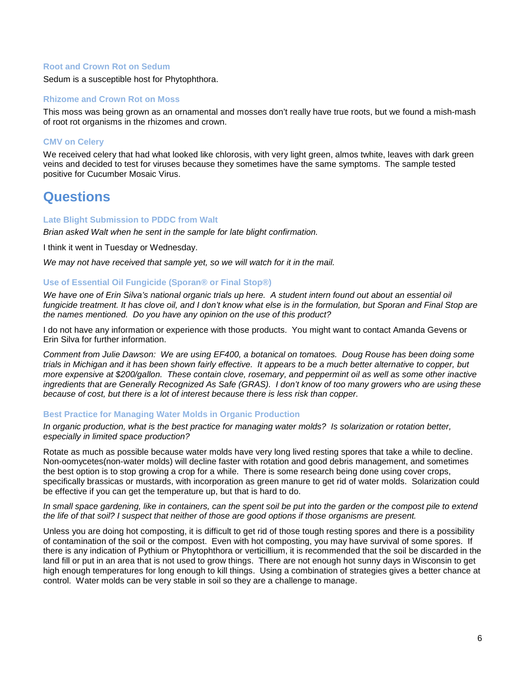### **Root and Crown Rot on Sedum**

Sedum is a susceptible host for Phytophthora.

### **Rhizome and Crown Rot on Moss**

This moss was being grown as an ornamental and mosses don't really have true roots, but we found a mish-mash of root rot organisms in the rhizomes and crown.

### **CMV on Celery**

We received celery that had what looked like chlorosis, with very light green, almos twhite, leaves with dark green veins and decided to test for viruses because they sometimes have the same symptoms. The sample tested positive for Cucumber Mosaic Virus.

### **Questions**

### **Late Blight Submission to PDDC from Walt**

*Brian asked Walt when he sent in the sample for late blight confirmation.*

I think it went in Tuesday or Wednesday.

*We may not have received that sample yet, so we will watch for it in the mail.*

### **Use of Essential Oil Fungicide (Sporan® or Final Stop®)**

*We have one of Erin Silva's national organic trials up here. A student intern found out about an essential oil fungicide treatment. It has clove oil, and I don't know what else is in the formulation, but Sporan and Final Stop are the names mentioned. Do you have any opinion on the use of this product?*

I do not have any information or experience with those products. You might want to contact Amanda Gevens or Erin Silva for further information.

*Comment from Julie Dawson: We are using EF400, a botanical on tomatoes. Doug Rouse has been doing some trials in Michigan and it has been shown fairly effective. It appears to be a much better alternative to copper, but more expensive at \$200/gallon. These contain clove, rosemary, and peppermint oil as well as some other inactive ingredients that are Generally Recognized As Safe (GRAS). I don't know of too many growers who are using these because of cost, but there is a lot of interest because there is less risk than copper.*

#### **Best Practice for Managing Water Molds in Organic Production**

*In organic production, what is the best practice for managing water molds? Is solarization or rotation better, especially in limited space production?*

Rotate as much as possible because water molds have very long lived resting spores that take a while to decline. Non-oomycetes(non-water molds) will decline faster with rotation and good debris management, and sometimes the best option is to stop growing a crop for a while. There is some research being done using cover crops, specifically brassicas or mustards, with incorporation as green manure to get rid of water molds. Solarization could be effective if you can get the temperature up, but that is hard to do.

### *In small space gardening, like in containers, can the spent soil be put into the garden or the compost pile to extend the life of that soil? I suspect that neither of those are good options if those organisms are present.*

Unless you are doing hot composting, it is difficult to get rid of those tough resting spores and there is a possibility of contamination of the soil or the compost. Even with hot composting, you may have survival of some spores. If there is any indication of Pythium or Phytophthora or verticillium, it is recommended that the soil be discarded in the land fill or put in an area that is not used to grow things. There are not enough hot sunny days in Wisconsin to get high enough temperatures for long enough to kill things. Using a combination of strategies gives a better chance at control. Water molds can be very stable in soil so they are a challenge to manage.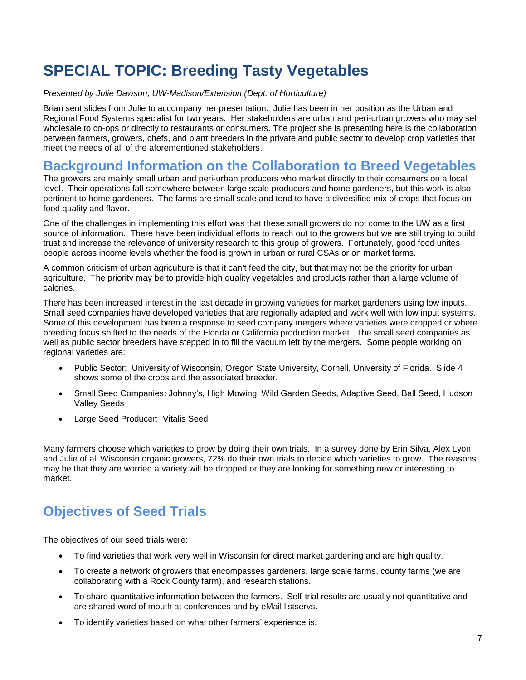# **SPECIAL TOPIC: Breeding Tasty Vegetables**

### *Presented by Julie Dawson, UW-Madison/Extension (Dept. of Horticulture)*

Brian sent slides from Julie to accompany her presentation. Julie has been in her position as the Urban and Regional Food Systems specialist for two years. Her stakeholders are urban and peri-urban growers who may sell wholesale to co-ops or directly to restaurants or consumers. The project she is presenting here is the collaboration between farmers, growers, chefs, and plant breeders in the private and public sector to develop crop varieties that meet the needs of all of the aforementioned stakeholders.

### **Background Information on the Collaboration to Breed Vegetables**

The growers are mainly small urban and peri-urban producers who market directly to their consumers on a local level. Their operations fall somewhere between large scale producers and home gardeners, but this work is also pertinent to home gardeners. The farms are small scale and tend to have a diversified mix of crops that focus on food quality and flavor.

One of the challenges in implementing this effort was that these small growers do not come to the UW as a first source of information. There have been individual efforts to reach out to the growers but we are still trying to build trust and increase the relevance of university research to this group of growers. Fortunately, good food unites people across income levels whether the food is grown in urban or rural CSAs or on market farms.

A common criticism of urban agriculture is that it can't feed the city, but that may not be the priority for urban agriculture. The priority may be to provide high quality vegetables and products rather than a large volume of calories.

There has been increased interest in the last decade in growing varieties for market gardeners using low inputs. Small seed companies have developed varieties that are regionally adapted and work well with low input systems. Some of this development has been a response to seed company mergers where varieties were dropped or where breeding focus shifted to the needs of the Florida or California production market. The small seed companies as well as public sector breeders have stepped in to fill the vacuum left by the mergers. Some people working on regional varieties are:

- Public Sector: University of Wisconsin, Oregon State University, Cornell, University of Florida. Slide 4 shows some of the crops and the associated breeder.
- Small Seed Companies: Johnny's, High Mowing, Wild Garden Seeds, Adaptive Seed, Ball Seed, Hudson Valley Seeds
- Large Seed Producer: Vitalis Seed

Many farmers choose which varieties to grow by doing their own trials. In a survey done by Erin Silva, Alex Lyon, and Julie of all Wisconsin organic growers, 72% do their own trials to decide which varieties to grow. The reasons may be that they are worried a variety will be dropped or they are looking for something new or interesting to market.

## **Objectives of Seed Trials**

The objectives of our seed trials were:

- To find varieties that work very well in Wisconsin for direct market gardening and are high quality.
- To create a network of growers that encompasses gardeners, large scale farms, county farms (we are collaborating with a Rock County farm), and research stations.
- To share quantitative information between the farmers. Self-trial results are usually not quantitative and are shared word of mouth at conferences and by eMail listservs.
- To identify varieties based on what other farmers' experience is.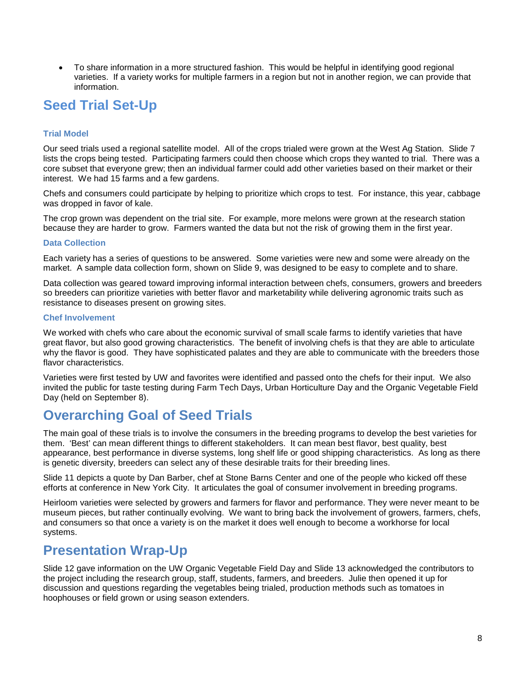• To share information in a more structured fashion. This would be helpful in identifying good regional varieties. If a variety works for multiple farmers in a region but not in another region, we can provide that information.

## **Seed Trial Set-Up**

### **Trial Model**

Our seed trials used a regional satellite model. All of the crops trialed were grown at the West Ag Station. Slide 7 lists the crops being tested. Participating farmers could then choose which crops they wanted to trial. There was a core subset that everyone grew; then an individual farmer could add other varieties based on their market or their interest. We had 15 farms and a few gardens.

Chefs and consumers could participate by helping to prioritize which crops to test. For instance, this year, cabbage was dropped in favor of kale.

The crop grown was dependent on the trial site. For example, more melons were grown at the research station because they are harder to grow. Farmers wanted the data but not the risk of growing them in the first year.

### **Data Collection**

Each variety has a series of questions to be answered. Some varieties were new and some were already on the market. A sample data collection form, shown on Slide 9, was designed to be easy to complete and to share.

Data collection was geared toward improving informal interaction between chefs, consumers, growers and breeders so breeders can prioritize varieties with better flavor and marketability while delivering agronomic traits such as resistance to diseases present on growing sites.

### **Chef Involvement**

We worked with chefs who care about the economic survival of small scale farms to identify varieties that have great flavor, but also good growing characteristics. The benefit of involving chefs is that they are able to articulate why the flavor is good. They have sophisticated palates and they are able to communicate with the breeders those flavor characteristics.

Varieties were first tested by UW and favorites were identified and passed onto the chefs for their input. We also invited the public for taste testing during Farm Tech Days, Urban Horticulture Day and the Organic Vegetable Field Day (held on September 8).

## **Overarching Goal of Seed Trials**

The main goal of these trials is to involve the consumers in the breeding programs to develop the best varieties for them. 'Best' can mean different things to different stakeholders. It can mean best flavor, best quality, best appearance, best performance in diverse systems, long shelf life or good shipping characteristics. As long as there is genetic diversity, breeders can select any of these desirable traits for their breeding lines.

Slide 11 depicts a quote by Dan Barber, chef at Stone Barns Center and one of the people who kicked off these efforts at conference in New York City. It articulates the goal of consumer involvement in breeding programs.

Heirloom varieties were selected by growers and farmers for flavor and performance. They were never meant to be museum pieces, but rather continually evolving. We want to bring back the involvement of growers, farmers, chefs, and consumers so that once a variety is on the market it does well enough to become a workhorse for local systems.

### **Presentation Wrap-Up**

Slide 12 gave information on the UW Organic Vegetable Field Day and Slide 13 acknowledged the contributors to the project including the research group, staff, students, farmers, and breeders. Julie then opened it up for discussion and questions regarding the vegetables being trialed, production methods such as tomatoes in hoophouses or field grown or using season extenders.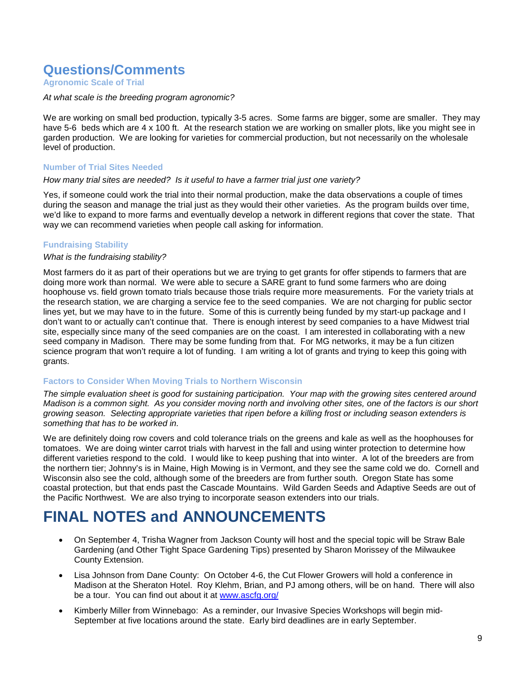### **Questions/Comments**

**Agronomic Scale of Trial**

### *At what scale is the breeding program agronomic?*

We are working on small bed production, typically 3-5 acres. Some farms are bigger, some are smaller. They may have 5-6 beds which are 4 x 100 ft. At the research station we are working on smaller plots, like you might see in garden production. We are looking for varieties for commercial production, but not necessarily on the wholesale level of production.

### **Number of Trial Sites Needed**

### *How many trial sites are needed? Is it useful to have a farmer trial just one variety?*

Yes, if someone could work the trial into their normal production, make the data observations a couple of times during the season and manage the trial just as they would their other varieties. As the program builds over time, we'd like to expand to more farms and eventually develop a network in different regions that cover the state. That way we can recommend varieties when people call asking for information.

### **Fundraising Stability**

### *What is the fundraising stability?*

Most farmers do it as part of their operations but we are trying to get grants for offer stipends to farmers that are doing more work than normal. We were able to secure a SARE grant to fund some farmers who are doing hoophouse vs. field grown tomato trials because those trials require more measurements. For the variety trials at the research station, we are charging a service fee to the seed companies. We are not charging for public sector lines yet, but we may have to in the future. Some of this is currently being funded by my start-up package and I don't want to or actually can't continue that. There is enough interest by seed companies to a have Midwest trial site, especially since many of the seed companies are on the coast. I am interested in collaborating with a new seed company in Madison. There may be some funding from that. For MG networks, it may be a fun citizen science program that won't require a lot of funding. I am writing a lot of grants and trying to keep this going with grants.

### **Factors to Consider When Moving Trials to Northern Wisconsin**

*The simple evaluation sheet is good for sustaining participation. Your map with the growing sites centered around Madison is a common sight. As you consider moving north and involving other sites, one of the factors is our short growing season. Selecting appropriate varieties that ripen before a killing frost or including season extenders is something that has to be worked in.* 

We are definitely doing row covers and cold tolerance trials on the greens and kale as well as the hoophouses for tomatoes. We are doing winter carrot trials with harvest in the fall and using winter protection to determine how different varieties respond to the cold. I would like to keep pushing that into winter. A lot of the breeders are from the northern tier; Johnny's is in Maine, High Mowing is in Vermont, and they see the same cold we do. Cornell and Wisconsin also see the cold, although some of the breeders are from further south. Oregon State has some coastal protection, but that ends past the Cascade Mountains. Wild Garden Seeds and Adaptive Seeds are out of the Pacific Northwest. We are also trying to incorporate season extenders into our trials.

## **FINAL NOTES and ANNOUNCEMENTS**

- On September 4, Trisha Wagner from Jackson County will host and the special topic will be Straw Bale Gardening (and Other Tight Space Gardening Tips) presented by Sharon Morissey of the Milwaukee County Extension.
- Lisa Johnson from Dane County: On October 4-6, the Cut Flower Growers will hold a conference in Madison at the Sheraton Hotel. Roy Klehm, Brian, and PJ among others, will be on hand. There will also be a tour. You can find out about it at [www.ascfg.org/](http://www.ascfg.org/)
- Kimberly Miller from Winnebago: As a reminder, our Invasive Species Workshops will begin mid-September at five locations around the state. Early bird deadlines are in early September.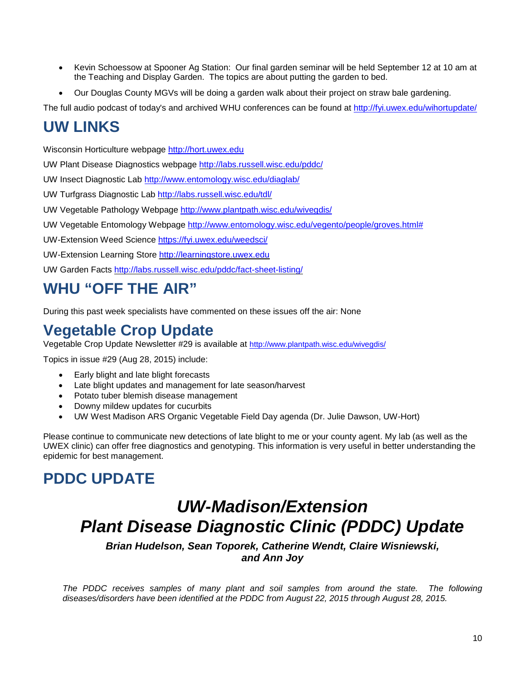- Kevin Schoessow at Spooner Ag Station: Our final garden seminar will be held September 12 at 10 am at the Teaching and Display Garden. The topics are about putting the garden to bed.
- Our Douglas County MGVs will be doing a garden walk about their project on straw bale gardening.

The full audio podcast of today's and archived WHU conferences can be found at<http://fyi.uwex.edu/wihortupdate/>

## **UW LINKS**

Wisconsin Horticulture webpage [http://hort.uwex.edu](http://hort.uwex.edu/)

UW Plant Disease Diagnostics webpage<http://labs.russell.wisc.edu/pddc/>

UW Insect Diagnostic Lab<http://www.entomology.wisc.edu/diaglab/>

UW Turfgrass Diagnostic Lab<http://labs.russell.wisc.edu/tdl/>

UW Vegetable Pathology Webpage<http://www.plantpath.wisc.edu/wivegdis/>

UW Vegetable Entomology Webpage [http://www.entomology.wisc.edu/vegento/people/groves.html#](http://www.entomology.wisc.edu/vegento/people/groves.html%23)

UW-Extension Weed Science https://fyi.uwex.edu/weedsci/

UW-Extension Learning Store [http://learningstore.uwex.edu](http://learningstore.uwex.edu/)

UW Garden Facts<http://labs.russell.wisc.edu/pddc/fact-sheet-listing/>

# **WHU "OFF THE AIR"**

During this past week specialists have commented on these issues off the air: None

## **Vegetable Crop Update**

Vegetable Crop Update Newsletter #29 is available at<http://www.plantpath.wisc.edu/wivegdis/>

Topics in issue #29 (Aug 28, 2015) include:

- Early blight and late blight forecasts
- Late blight updates and management for late season/harvest
- Potato tuber blemish disease management
- Downy mildew updates for cucurbits
- UW West Madison ARS Organic Vegetable Field Day agenda (Dr. Julie Dawson, UW-Hort)

Please continue to communicate new detections of late blight to me or your county agent. My lab (as well as the UWEX clinic) can offer free diagnostics and genotyping. This information is very useful in better understanding the epidemic for best management.

# **PDDC UPDATE**

# *UW-Madison/Extension Plant Disease Diagnostic Clinic (PDDC) Update*

*Brian Hudelson, Sean Toporek, Catherine Wendt, Claire Wisniewski, and Ann Joy*

*The PDDC receives samples of many plant and soil samples from around the state. The following diseases/disorders have been identified at the PDDC from August 22, 2015 through August 28, 2015.*